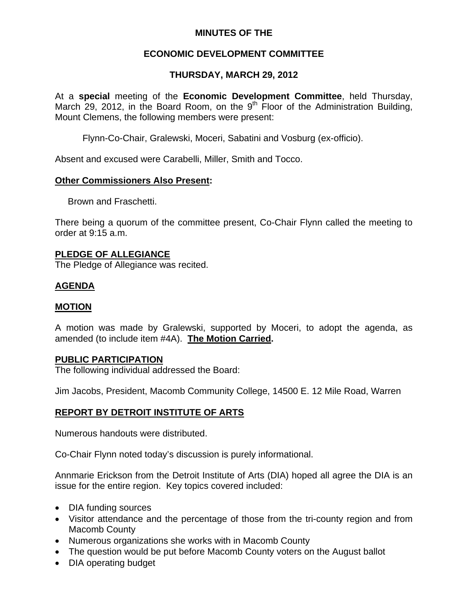## **MINUTES OF THE**

# **ECONOMIC DEVELOPMENT COMMITTEE**

## **THURSDAY, MARCH 29, 2012**

At a **special** meeting of the **Economic Development Committee**, held Thursday, March 29, 2012, in the Board Room, on the  $9<sup>th</sup>$  Floor of the Administration Building, Mount Clemens, the following members were present:

Flynn-Co-Chair, Gralewski, Moceri, Sabatini and Vosburg (ex-officio).

Absent and excused were Carabelli, Miller, Smith and Tocco.

### **Other Commissioners Also Present:**

Brown and Fraschetti.

There being a quorum of the committee present, Co-Chair Flynn called the meeting to order at 9:15 a.m.

## **PLEDGE OF ALLEGIANCE**

The Pledge of Allegiance was recited.

# **AGENDA**

## **MOTION**

A motion was made by Gralewski, supported by Moceri, to adopt the agenda, as amended (to include item #4A). **The Motion Carried.** 

#### **PUBLIC PARTICIPATION**

The following individual addressed the Board:

Jim Jacobs, President, Macomb Community College, 14500 E. 12 Mile Road, Warren

## **REPORT BY DETROIT INSTITUTE OF ARTS**

Numerous handouts were distributed.

Co-Chair Flynn noted today's discussion is purely informational.

Annmarie Erickson from the Detroit Institute of Arts (DIA) hoped all agree the DIA is an issue for the entire region. Key topics covered included:

- DIA funding sources
- Visitor attendance and the percentage of those from the tri-county region and from Macomb County
- Numerous organizations she works with in Macomb County
- The question would be put before Macomb County voters on the August ballot
- DIA operating budget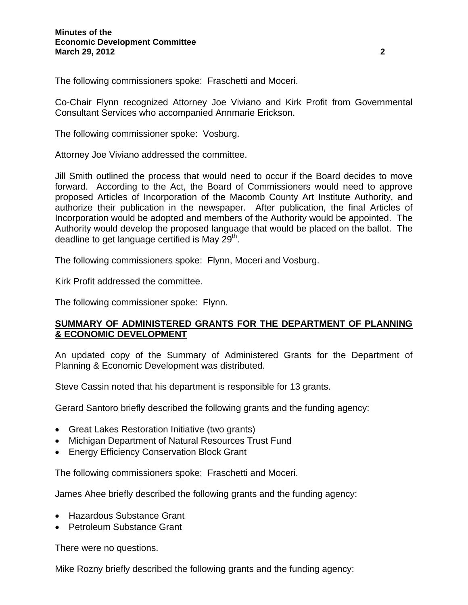The following commissioners spoke: Fraschetti and Moceri.

Co-Chair Flynn recognized Attorney Joe Viviano and Kirk Profit from Governmental Consultant Services who accompanied Annmarie Erickson.

The following commissioner spoke: Vosburg.

Attorney Joe Viviano addressed the committee.

Jill Smith outlined the process that would need to occur if the Board decides to move forward. According to the Act, the Board of Commissioners would need to approve proposed Articles of Incorporation of the Macomb County Art Institute Authority, and authorize their publication in the newspaper. After publication, the final Articles of Incorporation would be adopted and members of the Authority would be appointed. The Authority would develop the proposed language that would be placed on the ballot. The deadline to get language certified is May 29<sup>th</sup>.

The following commissioners spoke: Flynn, Moceri and Vosburg.

Kirk Profit addressed the committee.

The following commissioner spoke: Flynn.

## **SUMMARY OF ADMINISTERED GRANTS FOR THE DEPARTMENT OF PLANNING & ECONOMIC DEVELOPMENT**

An updated copy of the Summary of Administered Grants for the Department of Planning & Economic Development was distributed.

Steve Cassin noted that his department is responsible for 13 grants.

Gerard Santoro briefly described the following grants and the funding agency:

- Great Lakes Restoration Initiative (two grants)
- Michigan Department of Natural Resources Trust Fund
- Energy Efficiency Conservation Block Grant

The following commissioners spoke: Fraschetti and Moceri.

James Ahee briefly described the following grants and the funding agency:

- Hazardous Substance Grant
- Petroleum Substance Grant

There were no questions.

Mike Rozny briefly described the following grants and the funding agency: